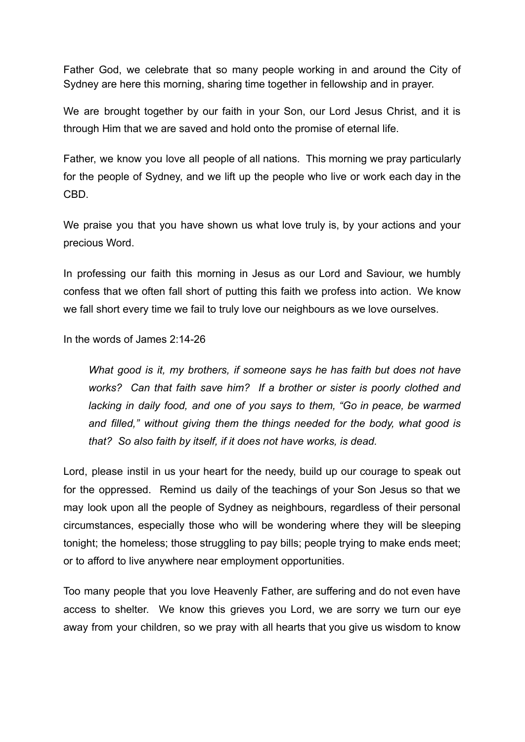Father God, we celebrate that so many people working in and around the City of Sydney are here this morning, sharing time together in fellowship and in prayer.

We are brought together by our faith in your Son, our Lord Jesus Christ, and it is through Him that we are saved and hold onto the promise of eternal life.

Father, we know you love all people of all nations. This morning we pray particularly for the people of Sydney, and we lift up the people who live or work each day in the CBD.

We praise you that you have shown us what love truly is, by your actions and your precious Word.

In professing our faith this morning in Jesus as our Lord and Saviour, we humbly confess that we often fall short of putting this faith we profess into action. We know we fall short every time we fail to truly love our neighbours as we love ourselves.

In the words of James 2:14-26

*What good is it, my brothers, if someone says he has faith but does not have works? Can that faith save him? If a brother or sister is poorly clothed and lacking in daily food, and one of you says to them, "Go in peace, be warmed and filled," without giving them the things needed for the body, what good is that? So also faith by itself, if it does not have works, is dead.*

Lord, please instil in us your heart for the needy, build up our courage to speak out for the oppressed. Remind us daily of the teachings of your Son Jesus so that we may look upon all the people of Sydney as neighbours, regardless of their personal circumstances, especially those who will be wondering where they will be sleeping tonight; the homeless; those struggling to pay bills; people trying to make ends meet; or to afford to live anywhere near employment opportunities.

Too many people that you love Heavenly Father, are suffering and do not even have access to shelter. We know this grieves you Lord, we are sorry we turn our eye away from your children, so we pray with all hearts that you give us wisdom to know